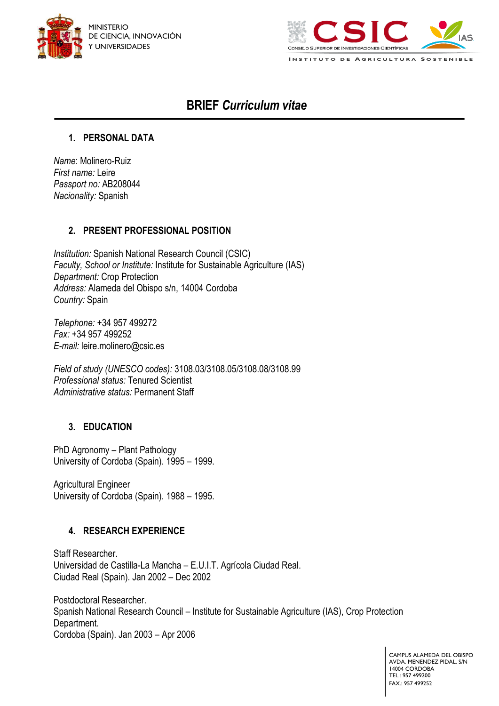



**I N S T I T U T O D E A G R I C U L T U R A S O S T E N I B L E**

# **BRIEF** *Curriculum vitae*

#### **1. PERSONAL DATA**

*Name*: Molinero-Ruiz *First name:* Leire *Passport no:* AB208044 *Nacionality:* Spanish

#### **2. PRESENT PROFESSIONAL POSITION**

*Institution:* Spanish National Research Council (CSIC) *Faculty, School or Institute:* Institute for Sustainable Agriculture (IAS) *Department:* Crop Protection *Address:* Alameda del Obispo s/n, 14004 Cordoba *Country:* Spain

*Telephone:* +34 957 499272 *Fax:* +34 957 499252 *E-mail:* leire.molinero@csic.es

*Field of study (UNESCO codes):* 3108.03/3108.05/3108.08/3108.99 *Professional status:* Tenured Scientist *Administrative status:* Permanent Staff

## **3. EDUCATION**

PhD Agronomy – Plant Pathology University of Cordoba (Spain). 1995 – 1999.

Agricultural Engineer University of Cordoba (Spain). 1988 – 1995.

## **4. RESEARCH EXPERIENCE**

Staff Researcher. Universidad de Castilla-La Mancha – E.U.I.T. Agrícola Ciudad Real. Ciudad Real (Spain). Jan 2002 – Dec 2002

Postdoctoral Researcher. Spanish National Research Council – Institute for Sustainable Agriculture (IAS), Crop Protection Department. Cordoba (Spain). Jan 2003 – Apr 2006

> CAMPUS ALAMEDA DEL OBISPO AVDA. MENENDEZ PIDAL, S/N 14004 CORDOBA TEL.: 957 499200 FAX.: 957 499252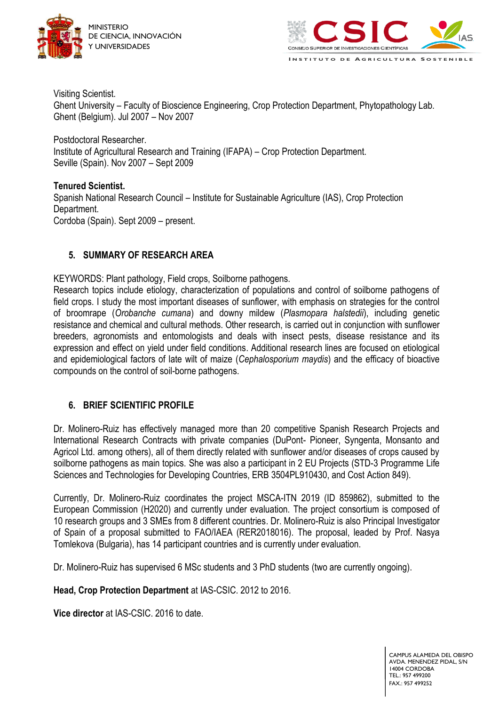



Visiting Scientist. Ghent University – Faculty of Bioscience Engineering, Crop Protection Department, Phytopathology Lab. Ghent (Belgium). Jul 2007 – Nov 2007

Postdoctoral Researcher. Institute of Agricultural Research and Training (IFAPA) – Crop Protection Department. Seville (Spain). Nov 2007 – Sept 2009

**Tenured Scientist.** Spanish National Research Council – Institute for Sustainable Agriculture (IAS), Crop Protection Department. Cordoba (Spain). Sept 2009 – present.

## **5. SUMMARY OF RESEARCH AREA**

KEYWORDS: Plant pathology, Field crops, Soilborne pathogens.

Research topics include etiology, characterization of populations and control of soilborne pathogens of field crops. I study the most important diseases of sunflower, with emphasis on strategies for the control of broomrape (*Orobanche cumana*) and downy mildew (*Plasmopara halstedii*), including genetic resistance and chemical and cultural methods. Other research, is carried out in conjunction with sunflower breeders, agronomists and entomologists and deals with insect pests, disease resistance and its expression and effect on yield under field conditions. Additional research lines are focused on etiological and epidemiological factors of late wilt of maize (*Cephalosporium maydis*) and the efficacy of bioactive compounds on the control of soil-borne pathogens.

## **6. BRIEF SCIENTIFIC PROFILE**

Dr. Molinero-Ruiz has effectively managed more than 20 competitive Spanish Research Projects and International Research Contracts with private companies (DuPont- Pioneer, Syngenta, Monsanto and Agricol Ltd. among others), all of them directly related with sunflower and/or diseases of crops caused by soilborne pathogens as main topics. She was also a participant in 2 EU Projects (STD-3 Programme Life Sciences and Technologies for Developing Countries, ERB 3504PL910430, and Cost Action 849).

Currently, Dr. Molinero-Ruiz coordinates the project MSCA-ITN 2019 (ID 859862), submitted to the European Commission (H2020) and currently under evaluation. The project consortium is composed of 10 research groups and 3 SMEs from 8 different countries. Dr. Molinero-Ruiz is also Principal Investigator of Spain of a proposal submitted to FAO/IAEA (RER2018016). The proposal, leaded by Prof. Nasya Tomlekova (Bulgaria), has 14 participant countries and is currently under evaluation.

Dr. Molinero-Ruiz has supervised 6 MSc students and 3 PhD students (two are currently ongoing).

**Head, Crop Protection Department** at IAS-CSIC. 2012 to 2016.

**Vice director** at IAS-CSIC. 2016 to date.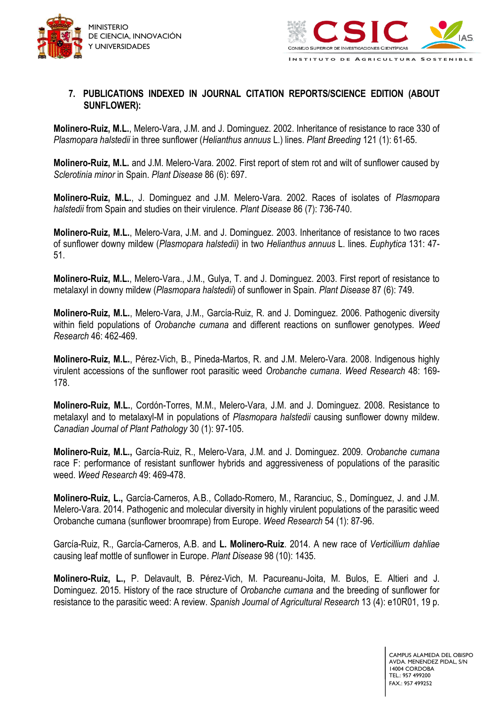



#### **7. PUBLICATIONS INDEXED IN JOURNAL CITATION REPORTS/SCIENCE EDITION (ABOUT SUNFLOWER):**

**Molinero-Ruiz, M.L.**, Melero-Vara, J.M. and J. Dominguez. 2002. Inheritance of resistance to race 330 of *Plasmopara halstedii* in three sunflower (*Helianthus annuus* L.) lines. *Plant Breeding* 121 (1): 61-65.

**Molinero-Ruiz, M.L.** and J.M. Melero-Vara. 2002. First report of stem rot and wilt of sunflower caused by *Sclerotinia minor* in Spain. *Plant Disease* 86 (6): 697.

**Molinero-Ruiz, M.L.**, J. Dominguez and J.M. Melero-Vara. 2002. Races of isolates of *Plasmopara halstedii* from Spain and studies on their virulence. *Plant Disease* 86 (7): 736-740.

**Molinero-Ruiz, M.L.**, Melero-Vara, J.M. and J. Dominguez. 2003. Inheritance of resistance to two races of sunflower downy mildew (*Plasmopara halstedii)* in two *Helianthus annuus* L. lines. *Euphytica* 131: 47- 51.

**Molinero-Ruiz, M.L.**, Melero-Vara., J.M., Gulya, T. and J. Dominguez. 2003. First report of resistance to metalaxyl in downy mildew (*Plasmopara halstedii*) of sunflower in Spain. *Plant Disease* 87 (6): 749.

**Molinero-Ruiz, M.L.**, Melero-Vara, J.M., García-Ruiz, R. and J. Dominguez. 2006. Pathogenic diversity within field populations of *Orobanche cumana* and different reactions on sunflower genotypes. *Weed Research* 46: 462-469.

**Molinero-Ruiz, M.L.**, Pérez-Vich, B., Pineda-Martos, R. and J.M. Melero-Vara. 2008. Indigenous highly virulent accessions of the sunflower root parasitic weed *Orobanche cumana*. *Weed Research* 48: 169- 178.

**Molinero-Ruiz, M.L.**, Cordón-Torres, M.M., Melero-Vara, J.M. and J. Dominguez. 2008. Resistance to metalaxyl and to metalaxyl-M in populations of *Plasmopara halstedii* causing sunflower downy mildew. *Canadian Journal of Plant Pathology* 30 (1): 97-105.

**Molinero-Ruiz, M.L.,** García-Ruiz, R., Melero-Vara, J.M. and J. Dominguez. 2009. *Orobanche cumana* race F: performance of resistant sunflower hybrids and aggressiveness of populations of the parasitic weed. *Weed Research* 49: 469-478.

**Molinero-Ruiz, L.,** García-Carneros, A.B., Collado-Romero, M., Raranciuc, S., Domínguez, J. and J.M. Melero-Vara. 2014. Pathogenic and molecular diversity in highly virulent populations of the parasitic weed Orobanche cumana (sunflower broomrape) from Europe. *Weed Research* 54 (1): 87-96.

García-Ruiz, R., García-Carneros, A.B. and **L. Molinero-Ruiz**. 2014. A new race of *Verticillium dahliae* causing leaf mottle of sunflower in Europe. *Plant Disease* 98 (10): 1435.

**Molinero-Ruiz, L.,** P. Delavault, B. Pérez-Vich, M. Pacureanu-Joita, M. Bulos, E. Altieri and J. Dominguez. 2015. History of the race structure of *Orobanche cumana* and the breeding of sunflower for resistance to the parasitic weed: A review. *Spanish Journal of Agricultural Research* 13 (4): e10R01, 19 p.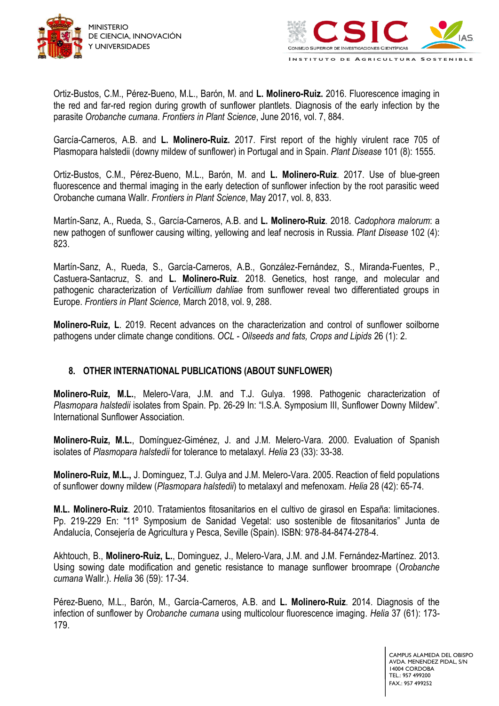



Ortiz-Bustos, C.M., Pérez-Bueno, M.L., Barón, M. and **L. Molinero-Ruiz.** 2016. Fluorescence imaging in the red and far-red region during growth of sunflower plantlets. Diagnosis of the early infection by the parasite *Orobanche cumana*. *Frontiers in Plant Science*, June 2016, vol. 7, 884.

García-Carneros, A.B. and **L. Molinero-Ruiz.** 2017. First report of the highly virulent race 705 of Plasmopara halstedii (downy mildew of sunflower) in Portugal and in Spain. *Plant Disease* 101 (8): 1555.

Ortiz-Bustos, C.M., Pérez-Bueno, M.L., Barón, M. and **L. Molinero-Ruiz**. 2017. Use of blue-green fluorescence and thermal imaging in the early detection of sunflower infection by the root parasitic weed Orobanche cumana Wallr. *Frontiers in Plant Science*, May 2017, vol. 8, 833.

Martín-Sanz, A., Rueda, S., García-Carneros, A.B. and **L. Molinero-Ruiz**. 2018. *Cadophora malorum*: a new pathogen of sunflower causing wilting, yellowing and leaf necrosis in Russia. *Plant Disease* 102 (4): 823.

Martín-Sanz, A., Rueda, S., García-Carneros, A.B., González-Fernández, S., Miranda-Fuentes, P., Castuera-Santacruz, S. and **L. Molinero-Ruiz**. 2018. Genetics, host range, and molecular and pathogenic characterization of *Verticillium dahliae* from sunflower reveal two differentiated groups in Europe. *Frontiers in Plant Science,* March 2018, vol. 9, 288.

**Molinero-Ruiz, L**. 2019. Recent advances on the characterization and control of sunflower soilborne pathogens under climate change conditions. *OCL - Oilseeds and fats, Crops and Lipids* 26 (1): 2.

# **8. OTHER INTERNATIONAL PUBLICATIONS (ABOUT SUNFLOWER)**

**Molinero-Ruiz, M.L.**, Melero-Vara, J.M. and T.J. Gulya. 1998. Pathogenic characterization of *Plasmopara halstedii* isolates from Spain. Pp. 26-29 In: "I.S.A. Symposium III, Sunflower Downy Mildew". International Sunflower Association.

**Molinero-Ruiz, M.L.**, Domínguez-Giménez, J. and J.M. Melero-Vara. 2000. Evaluation of Spanish isolates of *Plasmopara halstedii* for tolerance to metalaxyl. *Helia* 23 (33): 33-38.

**Molinero-Ruiz, M.L.,** J. Dominguez, T.J. Gulya and J.M. Melero-Vara. 2005. Reaction of field populations of sunflower downy mildew (*Plasmopara halstedii*) to metalaxyl and mefenoxam. *Helia* 28 (42): 65-74.

**M.L. Molinero-Ruiz**. 2010. Tratamientos fitosanitarios en el cultivo de girasol en España: limitaciones. Pp. 219-229 En: "11º Symposium de Sanidad Vegetal: uso sostenible de fitosanitarios" Junta de Andalucía, Consejería de Agricultura y Pesca, Seville (Spain). ISBN: 978-84-8474-278-4.

Akhtouch, B., **Molinero-Ruiz, L.**, Dominguez, J., Melero-Vara, J.M. and J.M. Fernández-Martínez. 2013. Using sowing date modification and genetic resistance to manage sunflower broomrape (*Orobanche cumana* Wallr.). *Helia* 36 (59): 17-34.

Pérez-Bueno, M.L., Barón, M., García-Carneros, A.B. and **L. Molinero-Ruiz**. 2014. Diagnosis of the infection of sunflower by *Orobanche cumana* using multicolour fluorescence imaging. *Helia* 37 (61): 173- 179.